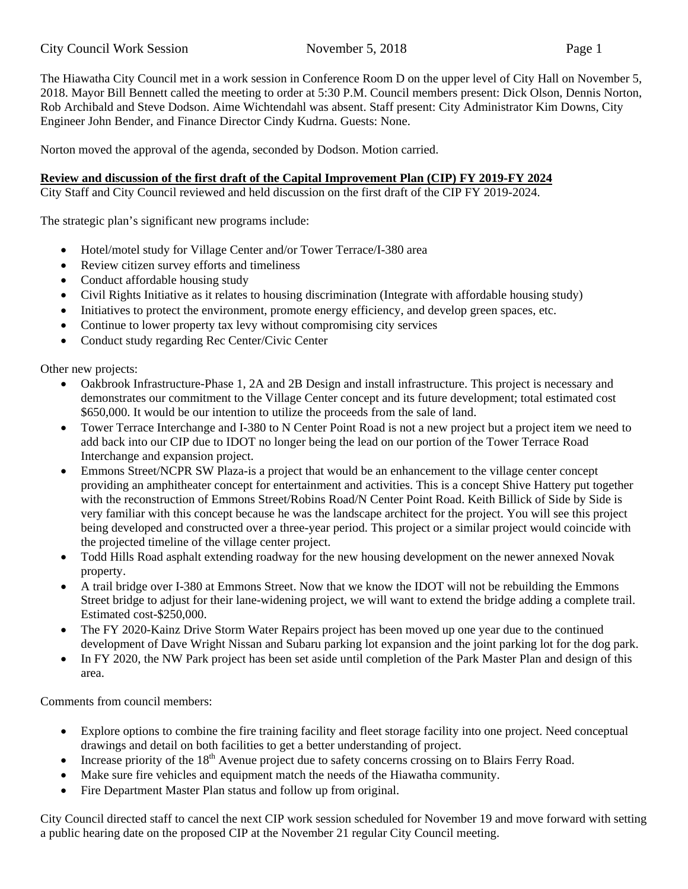The Hiawatha City Council met in a work session in Conference Room D on the upper level of City Hall on November 5, 2018. Mayor Bill Bennett called the meeting to order at 5:30 P.M. Council members present: Dick Olson, Dennis Norton, Rob Archibald and Steve Dodson. Aime Wichtendahl was absent. Staff present: City Administrator Kim Downs, City Engineer John Bender, and Finance Director Cindy Kudrna. Guests: None.

Norton moved the approval of the agenda, seconded by Dodson. Motion carried.

## **Review and discussion of the first draft of the Capital Improvement Plan (CIP) FY 2019-FY 2024**

City Staff and City Council reviewed and held discussion on the first draft of the CIP FY 2019-2024.

The strategic plan's significant new programs include:

- Hotel/motel study for Village Center and/or Tower Terrace/I-380 area
- Review citizen survey efforts and timeliness
- Conduct affordable housing study
- Civil Rights Initiative as it relates to housing discrimination (Integrate with affordable housing study)
- Initiatives to protect the environment, promote energy efficiency, and develop green spaces, etc.
- Continue to lower property tax levy without compromising city services
- Conduct study regarding Rec Center/Civic Center

Other new projects:

- Oakbrook Infrastructure-Phase 1, 2A and 2B Design and install infrastructure. This project is necessary and demonstrates our commitment to the Village Center concept and its future development; total estimated cost \$650,000. It would be our intention to utilize the proceeds from the sale of land.
- Tower Terrace Interchange and I-380 to N Center Point Road is not a new project but a project item we need to add back into our CIP due to IDOT no longer being the lead on our portion of the Tower Terrace Road Interchange and expansion project.
- Emmons Street/NCPR SW Plaza-is a project that would be an enhancement to the village center concept providing an amphitheater concept for entertainment and activities. This is a concept Shive Hattery put together with the reconstruction of Emmons Street/Robins Road/N Center Point Road. Keith Billick of Side by Side is very familiar with this concept because he was the landscape architect for the project. You will see this project being developed and constructed over a three-year period. This project or a similar project would coincide with the projected timeline of the village center project.
- Todd Hills Road asphalt extending roadway for the new housing development on the newer annexed Novak property.
- A trail bridge over I-380 at Emmons Street. Now that we know the IDOT will not be rebuilding the Emmons Street bridge to adjust for their lane-widening project, we will want to extend the bridge adding a complete trail. Estimated cost-\$250,000.
- The FY 2020-Kainz Drive Storm Water Repairs project has been moved up one year due to the continued development of Dave Wright Nissan and Subaru parking lot expansion and the joint parking lot for the dog park.
- In FY 2020, the NW Park project has been set aside until completion of the Park Master Plan and design of this area.

Comments from council members:

- Explore options to combine the fire training facility and fleet storage facility into one project. Need conceptual drawings and detail on both facilities to get a better understanding of project.
- Increase priority of the  $18<sup>th</sup>$  Avenue project due to safety concerns crossing on to Blairs Ferry Road.
- Make sure fire vehicles and equipment match the needs of the Hiawatha community.
- Fire Department Master Plan status and follow up from original.

City Council directed staff to cancel the next CIP work session scheduled for November 19 and move forward with setting a public hearing date on the proposed CIP at the November 21 regular City Council meeting.